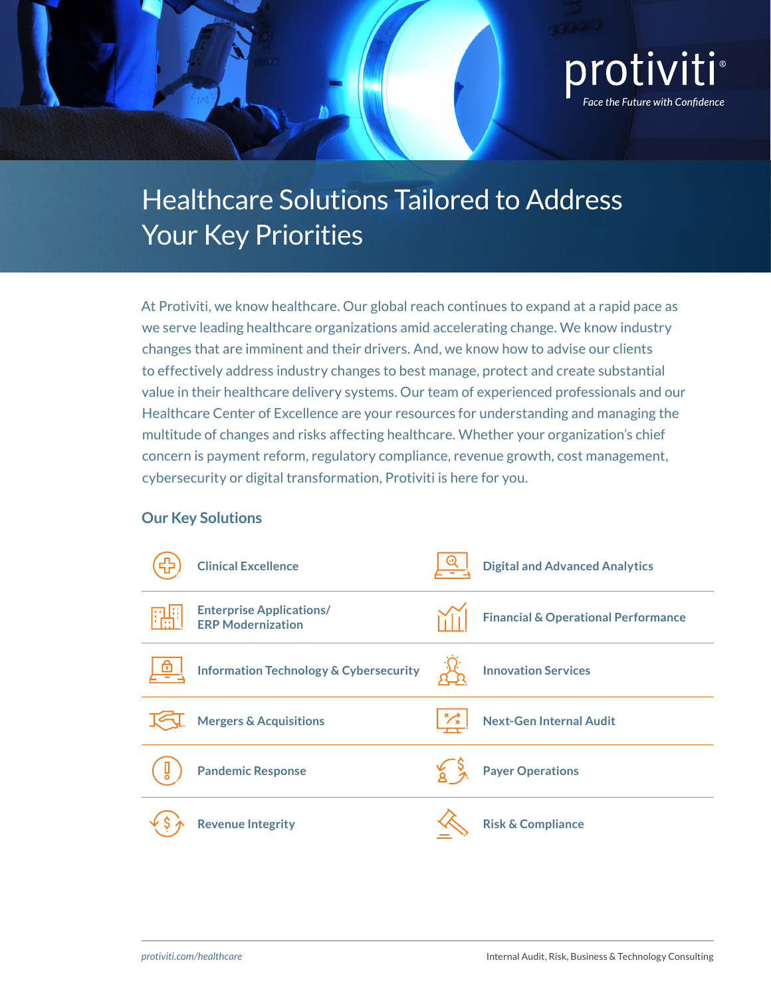

# Healthcare Solutions Tailored to Address Your Key Priorities

At Protiviti, we know healthcare. Our global reach continues to expand at a rapid pace as we serve leading healthcare organizations amid accelerating change. We know industry changes that are imminent and their drivers. And, we know how to advise our clients to effectively address industry changes to best manage, protect and create substantial value in their healthcare delivery systems. Our team of experienced professionals and our Healthcare Center of Excellence are your resources for understanding and managing the multitude of changes and risks affecting healthcare. Whether your organization's chief concern is payment reform, regulatory compliance, revenue growth, cost management, cybersecurity or digital transformation, Protiviti is here for you.

#### **Our Key Solutions**

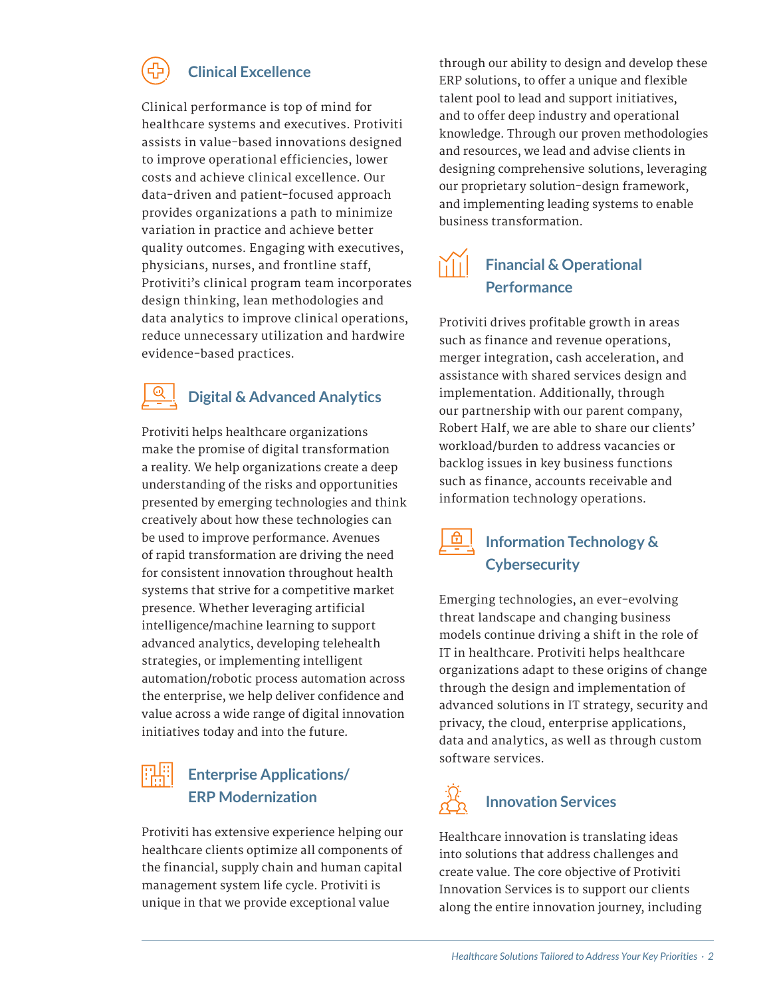#### **Clinical Excellence**

<span id="page-1-0"></span>Clinical performance is top of mind for healthcare systems and executives. Protiviti assists in value-based innovations designed to improve operational efficiencies, lower costs and achieve clinical excellence. Our data-driven and patient-focused approach provides organizations a path to minimize variation in practice and achieve better quality outcomes. Engaging with executives, physicians, nurses, and frontline staff, Protiviti's clinical program team incorporates design thinking, lean methodologies and data analytics to improve clinical operations, reduce unnecessary utilization and hardwire evidence-based practices.

### **Digital & Advanced Analytics**

Protiviti helps healthcare organizations make the promise of digital transformation a reality. We help organizations create a deep understanding of the risks and opportunities presented by emerging technologies and think creatively about how these technologies can be used to improve performance. Avenues of rapid transformation are driving the need for consistent innovation throughout health systems that strive for a competitive market presence. Whether leveraging artificial intelligence/machine learning to support advanced analytics, developing telehealth strategies, or implementing intelligent automation/robotic process automation across the enterprise, we help deliver confidence and value across a wide range of digital innovation initiatives today and into the future.

#### **Enterprise Applications/ ERP Modernization**

Protiviti has extensive experience helping our healthcare clients optimize all components of the financial, supply chain and human capital management system life cycle. Protiviti is unique in that we provide exceptional value

through our ability to design and develop these ERP solutions, to offer a unique and flexible talent pool to lead and support initiatives, and to offer deep industry and operational knowledge. Through our proven methodologies and resources, we lead and advise clients in designing comprehensive solutions, leveraging our proprietary solution-design framework, and implementing leading systems to enable business transformation.

### **Financial & Operational Performance**

Protiviti drives profitable growth in areas such as finance and revenue operations, merger integration, cash acceleration, and assistance with shared services design and implementation. Additionally, through our partnership with our parent company, Robert Half, we are able to share our clients' workload/burden to address vacancies or backlog issues in key business functions such as finance, accounts receivable and information technology operations.

### **Information Technology & Cybersecurity**

Emerging technologies, an ever-evolving threat landscape and changing business models continue driving a shift in the role of IT in healthcare. Protiviti helps healthcare organizations adapt to these origins of change through the design and implementation of advanced solutions in IT strategy, security and privacy, the cloud, enterprise applications, data and analytics, as well as through custom software services.

### **Innovation Services**

Healthcare innovation is translating ideas into solutions that address challenges and create value. The core objective of Protiviti Innovation Services is to support our clients along the entire innovation journey, including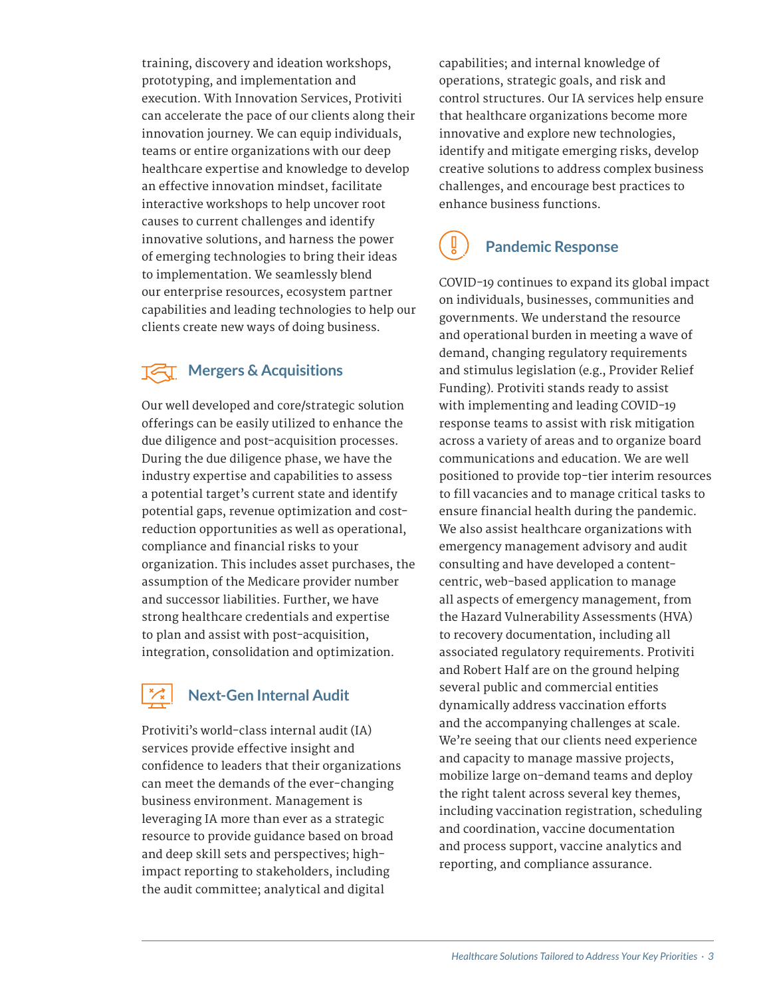<span id="page-2-0"></span>training, discovery and ideation workshops, prototyping, and implementation and execution. With Innovation Services, Protiviti can accelerate the pace of our clients along their innovation journey. We can equip individuals, teams or entire organizations with our deep healthcare expertise and knowledge to develop an effective innovation mindset, facilitate interactive workshops to help uncover root causes to current challenges and identify innovative solutions, and harness the power of emerging technologies to bring their ideas to implementation. We seamlessly blend our enterprise resources, ecosystem partner capabilities and leading technologies to help our clients create new ways of doing business.

### **TET** Mergers & Acquisitions

Our well developed and core/strategic solution offerings can be easily utilized to enhance the due diligence and post-acquisition processes. During the due diligence phase, we have the industry expertise and capabilities to assess a potential target's current state and identify potential gaps, revenue optimization and costreduction opportunities as well as operational, compliance and financial risks to your organization. This includes asset purchases, the assumption of the Medicare provider number and successor liabilities. Further, we have strong healthcare credentials and expertise to plan and assist with post-acquisition, integration, consolidation and optimization.

### **Next-Gen Internal Audit**

Protiviti's world-class internal audit (IA) services provide effective insight and confidence to leaders that their organizations can meet the demands of the ever-changing business environment. Management is leveraging IA more than ever as a strategic resource to provide guidance based on broad and deep skill sets and perspectives; highimpact reporting to stakeholders, including the audit committee; analytical and digital

capabilities; and internal knowledge of operations, strategic goals, and risk and control structures. Our IA services help ensure that healthcare organizations become more innovative and explore new technologies, identify and mitigate emerging risks, develop creative solutions to address complex business challenges, and encourage best practices to enhance business functions.

### **Pandemic Response**

COVID-19 continues to expand its global impact on individuals, businesses, communities and governments. We understand the resource and operational burden in meeting a wave of demand, changing regulatory requirements and stimulus legislation (e.g., Provider Relief Funding). Protiviti stands ready to assist with implementing and leading COVID-19 response teams to assist with risk mitigation across a variety of areas and to organize board communications and education. We are well positioned to provide top-tier interim resources to fill vacancies and to manage critical tasks to ensure financial health during the pandemic. We also assist healthcare organizations with emergency management advisory and audit consulting and have developed a contentcentric, web-based application to manage all aspects of emergency management, from the Hazard Vulnerability Assessments (HVA) to recovery documentation, including all associated regulatory requirements. Protiviti and Robert Half are on the ground helping several public and commercial entities dynamically address vaccination efforts and the accompanying challenges at scale. We're seeing that our clients need experience and capacity to manage massive projects, mobilize large on-demand teams and deploy the right talent across several key themes, including vaccination registration, scheduling and coordination, vaccine documentation and process support, vaccine analytics and reporting, and compliance assurance.